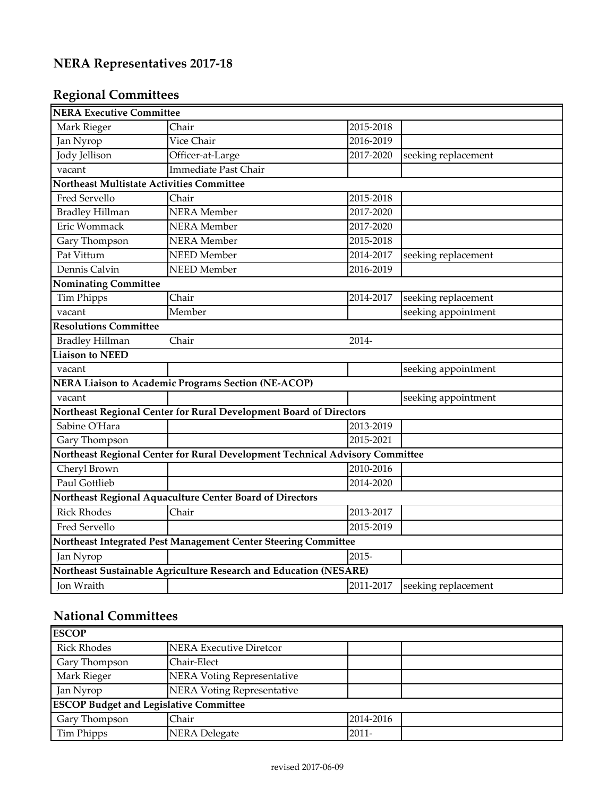| <b>NERA Executive Committee</b>                                   |                                                                              |           |                     |  |
|-------------------------------------------------------------------|------------------------------------------------------------------------------|-----------|---------------------|--|
| Mark Rieger                                                       | Chair                                                                        | 2015-2018 |                     |  |
| Jan Nyrop                                                         | Vice Chair                                                                   | 2016-2019 |                     |  |
| <b>Jody Jellison</b>                                              | Officer-at-Large                                                             | 2017-2020 | seeking replacement |  |
| vacant                                                            | Immediate Past Chair                                                         |           |                     |  |
| Northeast Multistate Activities Committee                         |                                                                              |           |                     |  |
| Fred Servello                                                     | Chair                                                                        | 2015-2018 |                     |  |
| <b>Bradley Hillman</b>                                            | <b>NERA</b> Member                                                           | 2017-2020 |                     |  |
| Eric Wommack                                                      | <b>NERA</b> Member                                                           | 2017-2020 |                     |  |
| Gary Thompson                                                     | <b>NERA</b> Member                                                           | 2015-2018 |                     |  |
| Pat Vittum                                                        | <b>NEED</b> Member                                                           | 2014-2017 | seeking replacement |  |
| Dennis Calvin                                                     | <b>NEED</b> Member                                                           | 2016-2019 |                     |  |
| Nominating Committee                                              |                                                                              |           |                     |  |
| <b>Tim Phipps</b>                                                 | Chair                                                                        | 2014-2017 | seeking replacement |  |
| vacant                                                            | Member                                                                       |           | seeking appointment |  |
| <b>Resolutions Committee</b>                                      |                                                                              |           |                     |  |
| <b>Bradley Hillman</b>                                            | Chair                                                                        | 2014-     |                     |  |
| <b>Liaison to NEED</b>                                            |                                                                              |           |                     |  |
| vacant                                                            |                                                                              |           | seeking appointment |  |
|                                                                   | <b>NERA Liaison to Academic Programs Section (NE-ACOP)</b>                   |           |                     |  |
| vacant                                                            |                                                                              |           | seeking appointment |  |
|                                                                   | Northeast Regional Center for Rural Development Board of Directors           |           |                     |  |
| Sabine O'Hara                                                     |                                                                              | 2013-2019 |                     |  |
| Gary Thompson                                                     |                                                                              | 2015-2021 |                     |  |
|                                                                   | Northeast Regional Center for Rural Development Technical Advisory Committee |           |                     |  |
| Cheryl Brown                                                      |                                                                              | 2010-2016 |                     |  |
| Paul Gottlieb                                                     |                                                                              | 2014-2020 |                     |  |
|                                                                   | Northeast Regional Aquaculture Center Board of Directors                     |           |                     |  |
| <b>Rick Rhodes</b>                                                | Chair                                                                        | 2013-2017 |                     |  |
| Fred Servello                                                     |                                                                              | 2015-2019 |                     |  |
|                                                                   | Northeast Integrated Pest Management Center Steering Committee               |           |                     |  |
| Jan Nyrop                                                         |                                                                              | 2015-     |                     |  |
| Northeast Sustainable Agriculture Research and Education (NESARE) |                                                                              |           |                     |  |
| Jon Wraith                                                        |                                                                              | 2011-2017 | seeking replacement |  |

## **National Committees**

| <b>ESCOP</b>                                  |                                |           |  |  |  |
|-----------------------------------------------|--------------------------------|-----------|--|--|--|
| <b>Rick Rhodes</b>                            | <b>NERA Executive Diretcor</b> |           |  |  |  |
| Gary Thompson                                 | Chair-Elect                    |           |  |  |  |
| Mark Rieger                                   | NERA Voting Representative     |           |  |  |  |
| Jan Nyrop                                     | NERA Voting Representative     |           |  |  |  |
| <b>ESCOP Budget and Legislative Committee</b> |                                |           |  |  |  |
| Gary Thompson                                 | Chair                          | 2014-2016 |  |  |  |
| Tim Phipps                                    | <b>NERA Delegate</b>           | $2011 -$  |  |  |  |